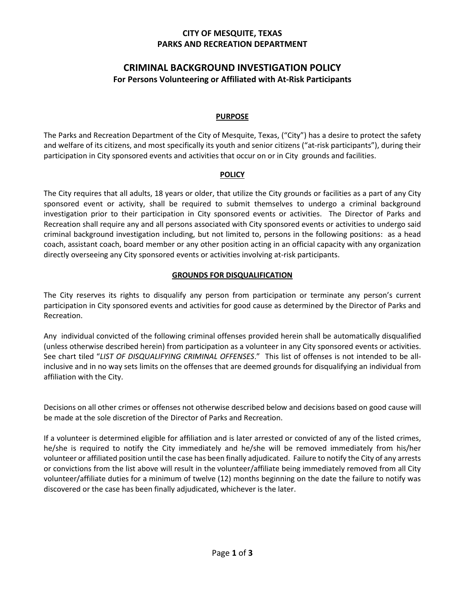## **CITY OF MESQUITE, TEXAS PARKS AND RECREATION DEPARTMENT**

# **CRIMINAL BACKGROUND INVESTIGATION POLICY For Persons Volunteering or Affiliated with At-Risk Participants**

### **PURPOSE**

The Parks and Recreation Department of the City of Mesquite, Texas, ("City") has a desire to protect the safety and welfare of its citizens, and most specifically its youth and senior citizens ("at-risk participants"), during their participation in City sponsored events and activities that occur on or in City grounds and facilities.

#### **POLICY**

The City requires that all adults, 18 years or older, that utilize the City grounds or facilities as a part of any City sponsored event or activity, shall be required to submit themselves to undergo a criminal background investigation prior to their participation in City sponsored events or activities. The Director of Parks and Recreation shall require any and all persons associated with City sponsored events or activities to undergo said criminal background investigation including, but not limited to, persons in the following positions: as a head coach, assistant coach, board member or any other position acting in an official capacity with any organization directly overseeing any City sponsored events or activities involving at-risk participants.

#### **GROUNDS FOR DISQUALIFICATION**

The City reserves its rights to disqualify any person from participation or terminate any person's current participation in City sponsored events and activities for good cause as determined by the Director of Parks and Recreation.

Any individual convicted of the following criminal offenses provided herein shall be automatically disqualified (unless otherwise described herein) from participation as a volunteer in any City sponsored events or activities. See chart tiled "*LIST OF DISQUALIFYING CRIMINAL OFFENSES*." This list of offenses is not intended to be allinclusive and in no way sets limits on the offenses that are deemed grounds for disqualifying an individual from affiliation with the City.

Decisions on all other crimes or offenses not otherwise described below and decisions based on good cause will be made at the sole discretion of the Director of Parks and Recreation.

If a volunteer is determined eligible for affiliation and is later arrested or convicted of any of the listed crimes, he/she is required to notify the City immediately and he/she will be removed immediately from his/her volunteer or affiliated position until the case has been finally adjudicated. Failure to notify the City of any arrests or convictions from the list above will result in the volunteer/affiliate being immediately removed from all City volunteer/affiliate duties for a minimum of twelve (12) months beginning on the date the failure to notify was discovered or the case has been finally adjudicated, whichever is the later.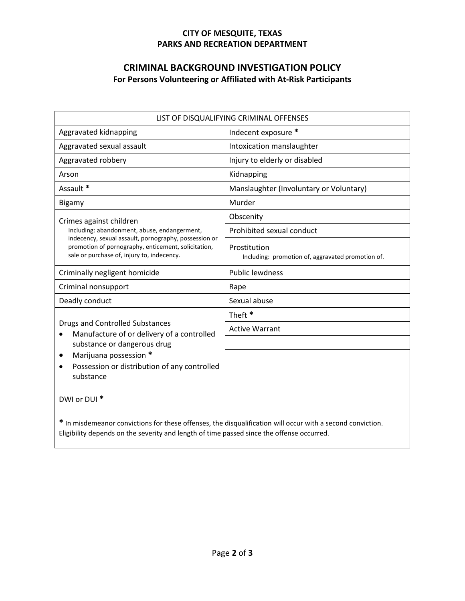## **CITY OF MESQUITE, TEXAS PARKS AND RECREATION DEPARTMENT**

# **CRIMINAL BACKGROUND INVESTIGATION POLICY For Persons Volunteering or Affiliated with At-Risk Participants**

| LIST OF DISQUALIFYING CRIMINAL OFFENSES                                                                                                                                                                                                           |                                                                   |
|---------------------------------------------------------------------------------------------------------------------------------------------------------------------------------------------------------------------------------------------------|-------------------------------------------------------------------|
| Aggravated kidnapping                                                                                                                                                                                                                             | Indecent exposure *                                               |
| Aggravated sexual assault                                                                                                                                                                                                                         | Intoxication manslaughter                                         |
| Aggravated robbery                                                                                                                                                                                                                                | Injury to elderly or disabled                                     |
| Arson                                                                                                                                                                                                                                             | Kidnapping                                                        |
| Assault *                                                                                                                                                                                                                                         | Manslaughter (Involuntary or Voluntary)                           |
| Bigamy                                                                                                                                                                                                                                            | Murder                                                            |
| Crimes against children<br>Including: abandonment, abuse, endangerment,<br>indecency, sexual assault, pornography, possession or<br>promotion of pornography, enticement, solicitation,<br>sale or purchase of, injury to, indecency.             | Obscenity                                                         |
|                                                                                                                                                                                                                                                   | Prohibited sexual conduct                                         |
|                                                                                                                                                                                                                                                   | Prostitution<br>Including: promotion of, aggravated promotion of. |
| Criminally negligent homicide                                                                                                                                                                                                                     | <b>Public lewdness</b>                                            |
| Criminal nonsupport                                                                                                                                                                                                                               | Rape                                                              |
| Deadly conduct                                                                                                                                                                                                                                    | Sexual abuse                                                      |
| <b>Drugs and Controlled Substances</b><br>Manufacture of or delivery of a controlled<br>$\bullet$<br>substance or dangerous drug<br>Marijuana possession *<br>$\bullet$<br>Possession or distribution of any controlled<br>$\bullet$<br>substance | Theft <sup>*</sup>                                                |
|                                                                                                                                                                                                                                                   | <b>Active Warrant</b>                                             |
|                                                                                                                                                                                                                                                   |                                                                   |
|                                                                                                                                                                                                                                                   |                                                                   |
|                                                                                                                                                                                                                                                   |                                                                   |
|                                                                                                                                                                                                                                                   |                                                                   |
| DWI or DUI *                                                                                                                                                                                                                                      |                                                                   |
|                                                                                                                                                                                                                                                   |                                                                   |

**\*** In misdemeanor convictions for these offenses, the disqualification will occur with a second conviction. Eligibility depends on the severity and length of time passed since the offense occurred.